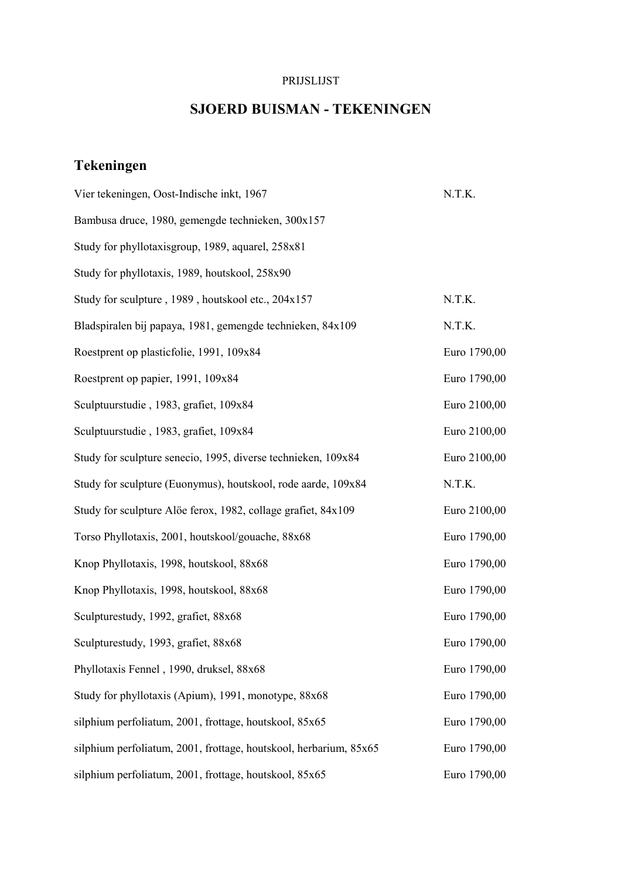## PRIJSLIJST

## **SJOERD BUISMAN - TEKENINGEN**

## **Tekeningen**

| Vier tekeningen, Oost-Indische inkt, 1967                         | N.T.K.       |
|-------------------------------------------------------------------|--------------|
| Bambusa druce, 1980, gemengde technieken, 300x157                 |              |
| Study for phyllotaxisgroup, 1989, aquarel, 258x81                 |              |
| Study for phyllotaxis, 1989, houtskool, 258x90                    |              |
| Study for sculpture, 1989, houtskool etc., 204x157                | N.T.K.       |
| Bladspiralen bij papaya, 1981, gemengde technieken, 84x109        | N.T.K.       |
| Roestprent op plasticfolie, 1991, 109x84                          | Euro 1790,00 |
| Roestprent op papier, 1991, 109x84                                | Euro 1790,00 |
| Sculptuurstudie, 1983, grafiet, 109x84                            | Euro 2100,00 |
| Sculptuurstudie, 1983, grafiet, 109x84                            | Euro 2100,00 |
| Study for sculpture senecio, 1995, diverse technieken, 109x84     | Euro 2100,00 |
| Study for sculpture (Euonymus), houtskool, rode aarde, 109x84     | N.T.K.       |
| Study for sculpture Alöe ferox, 1982, collage grafiet, 84x109     | Euro 2100,00 |
| Torso Phyllotaxis, 2001, houtskool/gouache, 88x68                 | Euro 1790,00 |
| Knop Phyllotaxis, 1998, houtskool, 88x68                          | Euro 1790,00 |
| Knop Phyllotaxis, 1998, houtskool, 88x68                          | Euro 1790,00 |
| Sculpturestudy, 1992, grafiet, 88x68                              | Euro 1790,00 |
| Sculpturestudy, 1993, grafiet, 88x68                              | Euro 1790,00 |
| Phyllotaxis Fennel, 1990, druksel, 88x68                          | Euro 1790,00 |
| Study for phyllotaxis (Apium), 1991, monotype, 88x68              | Euro 1790,00 |
| silphium perfoliatum, 2001, frottage, houtskool, 85x65            | Euro 1790,00 |
| silphium perfoliatum, 2001, frottage, houtskool, herbarium, 85x65 | Euro 1790,00 |
| silphium perfoliatum, 2001, frottage, houtskool, 85x65            | Euro 1790,00 |